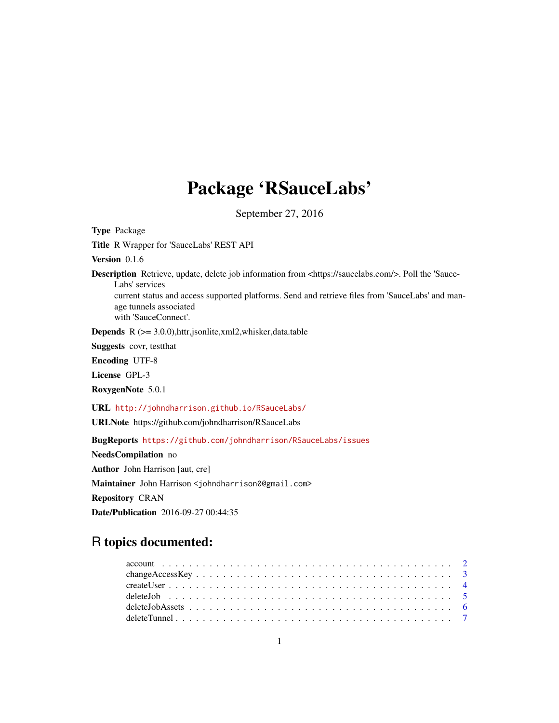# Package 'RSauceLabs'

September 27, 2016

<span id="page-0-0"></span>

| <b>Type Package</b>                                                                                                                                                                                                                                                                            |
|------------------------------------------------------------------------------------------------------------------------------------------------------------------------------------------------------------------------------------------------------------------------------------------------|
| Title R Wrapper for 'SauceLabs' REST API                                                                                                                                                                                                                                                       |
| Version $0.1.6$                                                                                                                                                                                                                                                                                |
| <b>Description</b> Retrieve, update, delete job information from <https: saucelabs.com=""></https:> . Poll the 'Sauce-<br>Labs' services<br>current status and access supported platforms. Send and retrieve files from 'SauceLabs' and man-<br>age tunnels associated<br>with 'SauceConnect'. |
| <b>Depends</b> $R$ ( $> = 3.0.0$ ), httr, jsonlite, xml2, whisker, data.table                                                                                                                                                                                                                  |
| <b>Suggests</b> covr, test that                                                                                                                                                                                                                                                                |
| <b>Encoding UTF-8</b>                                                                                                                                                                                                                                                                          |
| License GPL-3                                                                                                                                                                                                                                                                                  |
| RoxygenNote 5.0.1                                                                                                                                                                                                                                                                              |
| URL http://johndharrison.github.io/RSauceLabs/                                                                                                                                                                                                                                                 |
| URLNote https://github.com/johndharrison/RSauceLabs                                                                                                                                                                                                                                            |
| BugReports https://github.com/johndharrison/RSauceLabs/issues                                                                                                                                                                                                                                  |
| NeedsCompilation no                                                                                                                                                                                                                                                                            |
| <b>Author</b> John Harrison [aut, cre]                                                                                                                                                                                                                                                         |
| Maintainer John Harrison <johndharrison0@gmail.com></johndharrison0@gmail.com>                                                                                                                                                                                                                 |
| <b>Repository CRAN</b>                                                                                                                                                                                                                                                                         |
| <b>Date/Publication</b> 2016-09-27 00:44:35                                                                                                                                                                                                                                                    |
|                                                                                                                                                                                                                                                                                                |

# R topics documented: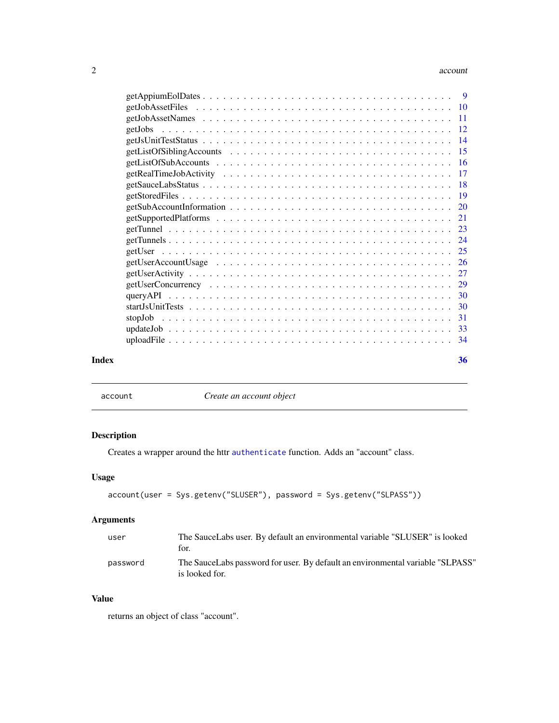#### <span id="page-1-0"></span>2 account to the contract of the contract of the contract of the contract of the contract of the contract of the contract of the contract of the contract of the contract of the contract of the contract of the contract of t

| Index | 36 |
|-------|----|
|       |    |

<span id="page-1-1"></span>

account *Create an account object*

# Description

Creates a wrapper around the httr [authenticate](#page-0-0) function. Adds an "account" class.

# Usage

```
account(user = Sys.getenv("SLUSER"), password = Sys.getenv("SLPASS"))
```
# Arguments

| user     | The SauceLabs user. By default an environmental variable "SLUSER" is looked<br>for.              |
|----------|--------------------------------------------------------------------------------------------------|
| password | The SauceLabs password for user. By default an environmental variable "SLPASS"<br>is looked for. |

# Value

returns an object of class "account".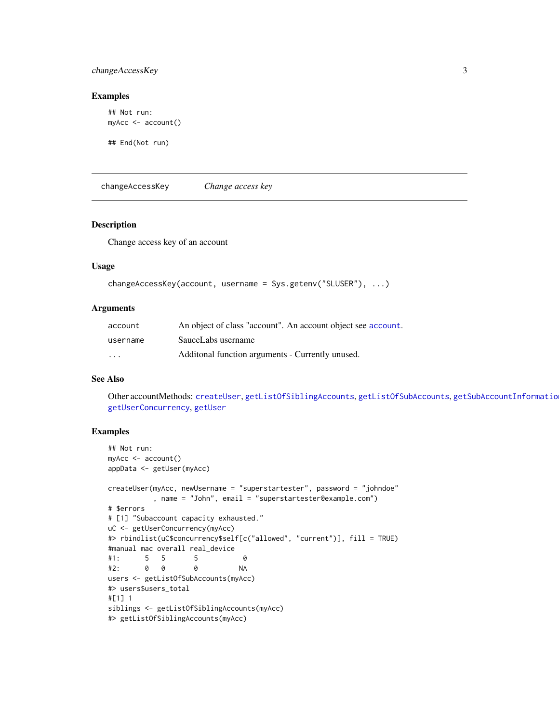# <span id="page-2-0"></span>changeAccessKey 3

#### Examples

```
## Not run:
myAcc <- account()
```
## End(Not run)

<span id="page-2-1"></span>changeAccessKey *Change access key*

# Description

Change access key of an account

#### Usage

```
changeAccessKey(account, username = Sys.getenv("SLUSER"), ...)
```
#### **Arguments**

| account                 | An object of class "account". An account object see account. |
|-------------------------|--------------------------------------------------------------|
| username                | SauceLabs username                                           |
| $\cdot$ $\cdot$ $\cdot$ | Additional function arguments - Currently unused.            |

# See Also

Other accountMethods: [createUser](#page-3-1), [getListOfSiblingAccounts](#page-14-1), [getListOfSubAccounts](#page-15-1), [getSubAccountInformation](#page-19-1), [getUserConcurrency](#page-28-1), [getUser](#page-24-1)

```
## Not run:
myAcc <- account()
appData <- getUser(myAcc)
createUser(myAcc, newUsername = "superstartester", password = "johndoe"
          , name = "John", email = "superstartester@example.com")
# $errors
# [1] "Subaccount capacity exhausted."
uC <- getUserConcurrency(myAcc)
#> rbindlist(uC$concurrency$self[c("allowed", "current")], fill = TRUE)
#manual mac overall real_device
#1: 5 5 5 0
#2: 0 0 0 NA
users <- getListOfSubAccounts(myAcc)
#> users$users_total
#[1] 1
siblings <- getListOfSiblingAccounts(myAcc)
#> getListOfSiblingAccounts(myAcc)
```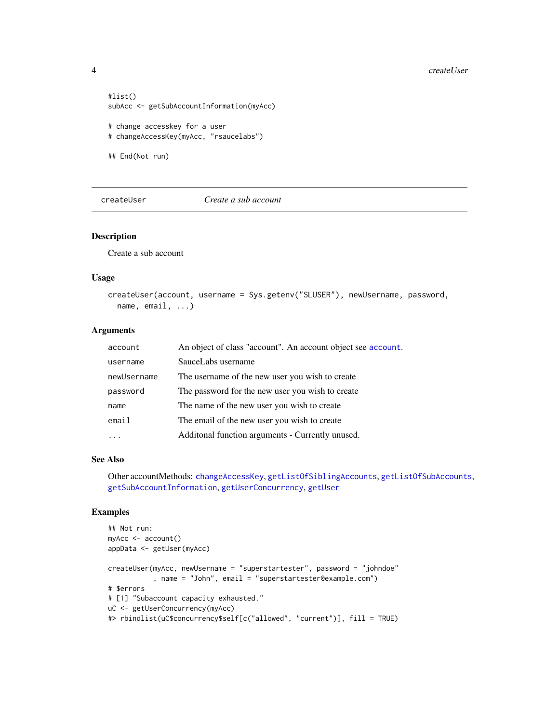```
#list()
subAcc <- getSubAccountInformation(myAcc)
# change accesskey for a user
# changeAccessKey(myAcc, "rsaucelabs")
## End(Not run)
```
<span id="page-3-1"></span>

createUser *Create a sub account*

#### Description

Create a sub account

#### Usage

```
createUser(account, username = Sys.getenv("SLUSER"), newUsername, password,
  name, email, ...)
```
#### Arguments

| account     | An object of class "account". An account object see account. |
|-------------|--------------------------------------------------------------|
| username    | SauceLabs username                                           |
| newUsername | The username of the new user you wish to create              |
| password    | The password for the new user you wish to create             |
| name        | The name of the new user you wish to create                  |
| email       | The email of the new user you wish to create                 |
|             | Additonal function arguments - Currently unused.             |

#### See Also

Other accountMethods: [changeAccessKey](#page-2-1), [getListOfSiblingAccounts](#page-14-1), [getListOfSubAccounts](#page-15-1), [getSubAccountInformation](#page-19-1), [getUserConcurrency](#page-28-1), [getUser](#page-24-1)

```
## Not run:
myAcc <- account()
appData <- getUser(myAcc)
createUser(myAcc, newUsername = "superstartester", password = "johndoe"
           , name = "John", email = "superstartester@example.com")
# $errors
# [1] "Subaccount capacity exhausted."
uC <- getUserConcurrency(myAcc)
#> rbindlist(uC$concurrency$self[c("allowed", "current")], fill = TRUE)
```
<span id="page-3-0"></span>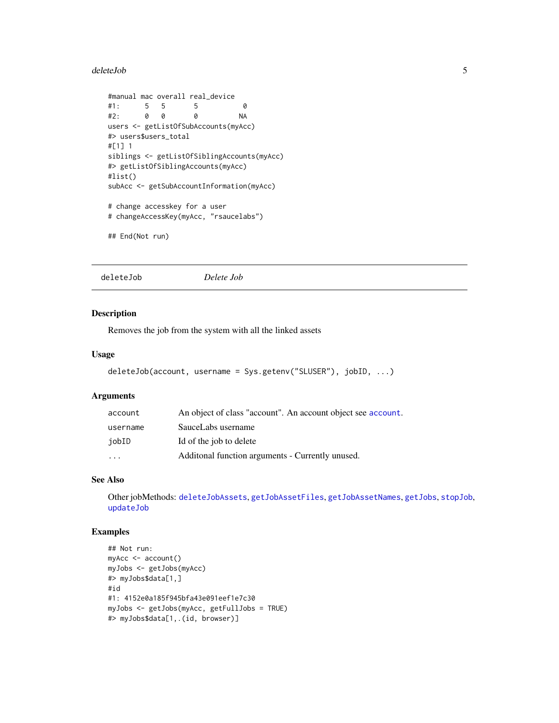#### <span id="page-4-0"></span>deleteJob 5

```
#manual mac overall real_device
#1: 5 5 5 0
#2: 0 0 0 NA
users <- getListOfSubAccounts(myAcc)
#> users$users_total
#[1] 1
siblings <- getListOfSiblingAccounts(myAcc)
#> getListOfSiblingAccounts(myAcc)
#list()
subAcc <- getSubAccountInformation(myAcc)
# change accesskey for a user
# changeAccessKey(myAcc, "rsaucelabs")
```

```
## End(Not run)
```
<span id="page-4-1"></span>deleteJob *Delete Job*

#### Description

Removes the job from the system with all the linked assets

#### Usage

```
deleteJob(account, username = Sys.getenv("SLUSER"), jobID, ...)
```
#### Arguments

| account                 | An object of class "account". An account object see account. |
|-------------------------|--------------------------------------------------------------|
| username                | SauceLabs username                                           |
| iobID                   | Id of the job to delete                                      |
| $\cdot$ $\cdot$ $\cdot$ | Additional function arguments - Currently unused.            |

#### See Also

Other jobMethods: [deleteJobAssets](#page-5-1), [getJobAssetFiles](#page-9-1), [getJobAssetNames](#page-10-1), [getJobs](#page-11-1), [stopJob](#page-30-1), [updateJob](#page-32-1)

```
## Not run:
myAcc <- account()
myJobs <- getJobs(myAcc)
#> myJobs$data[1,]
#id
#1: 4152e0a185f945bfa43e091eef1e7c30
myJobs <- getJobs(myAcc, getFullJobs = TRUE)
#> myJobs$data[1,.(id, browser)]
```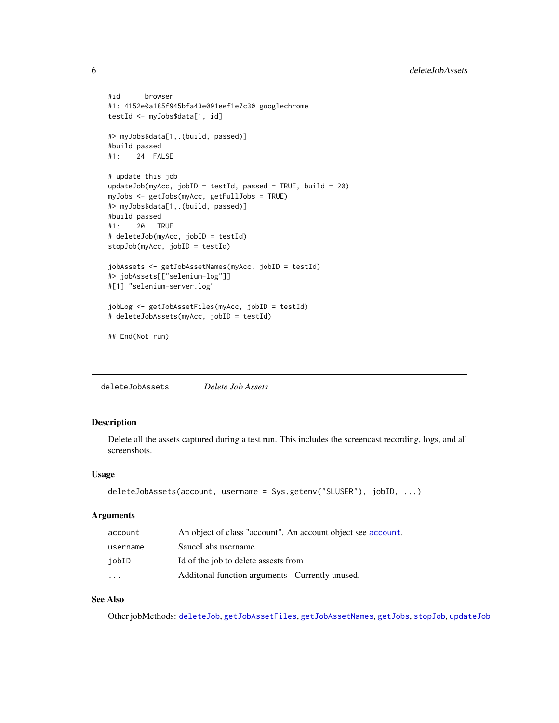```
#id browser
#1: 4152e0a185f945bfa43e091eef1e7c30 googlechrome
testId <- myJobs$data[1, id]
#> myJobs$data[1,.(build, passed)]
#build passed
#1: 24 FALSE
# update this job
updateJob(myAcc, jobID = testId, passed = TRUE, build = 20)
myJobs <- getJobs(myAcc, getFullJobs = TRUE)
#> myJobs$data[1,.(build, passed)]
#build passed
#1: 20 TRUE
# deleteJob(myAcc, jobID = testId)
stopJob(myAcc, jobID = testId)
jobAssets <- getJobAssetNames(myAcc, jobID = testId)
#> jobAssets[["selenium-log"]]
#[1] "selenium-server.log"
jobLog <- getJobAssetFiles(myAcc, jobID = testId)
# deleteJobAssets(myAcc, jobID = testId)
## End(Not run)
```
<span id="page-5-1"></span>deleteJobAssets *Delete Job Assets*

#### Description

Delete all the assets captured during a test run. This includes the screencast recording, logs, and all screenshots.

#### Usage

```
deleteJobAssets(account, username = Sys.getenv("SLUSER"), jobID, ...)
```
# Arguments

| account   | An object of class "account". An account object see account. |
|-----------|--------------------------------------------------------------|
| username  | SauceLabs username                                           |
| jobID     | Id of the job to delete assests from                         |
| $\ddotsc$ | Additional function arguments - Currently unused.            |

# See Also

Other jobMethods: [deleteJob](#page-4-1), [getJobAssetFiles](#page-9-1), [getJobAssetNames](#page-10-1), [getJobs](#page-11-1), [stopJob](#page-30-1), [updateJob](#page-32-1)

<span id="page-5-0"></span>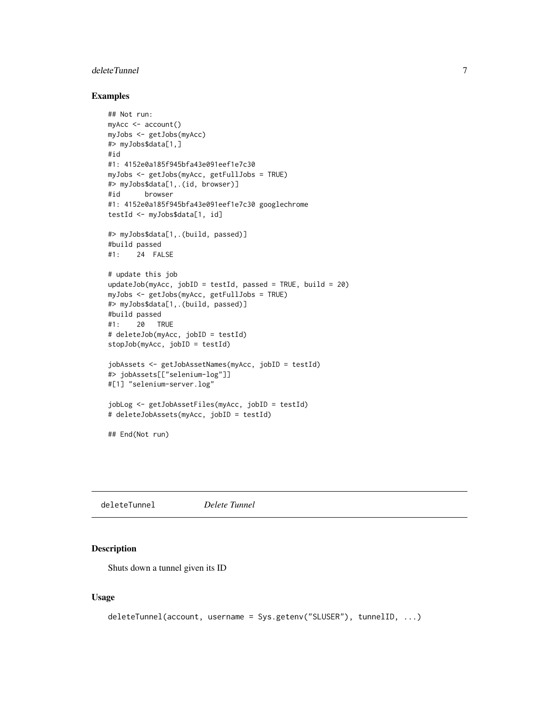#### <span id="page-6-0"></span>deleteTunnel 2008 and 2008 and 2008 and 2008 and 2008 and 2008 and 2008 and 2008 and 2008 and 2008 and 2008 and 2008 and 2008 and 2008 and 2008 and 2008 and 2008 and 2008 and 2008 and 2008 and 2008 and 2008 and 2008 and 20

# Examples

```
## Not run:
myAcc <- account()
myJobs <- getJobs(myAcc)
#> myJobs$data[1,]
#id
#1: 4152e0a185f945bfa43e091eef1e7c30
myJobs <- getJobs(myAcc, getFullJobs = TRUE)
#> myJobs$data[1,.(id, browser)]
#id browser
#1: 4152e0a185f945bfa43e091eef1e7c30 googlechrome
testId <- myJobs$data[1, id]
#> myJobs$data[1,.(build, passed)]
#build passed
#1: 24 FALSE
# update this job
updateJob(myAcc, jobID = testId, passed = TRUE, build = 20)
myJobs <- getJobs(myAcc, getFullJobs = TRUE)
#> myJobs$data[1,.(build, passed)]
#build passed
#1: 20 TRUE
# deleteJob(myAcc, jobID = testId)
stopJob(myAcc, jobID = testId)
jobAssets <- getJobAssetNames(myAcc, jobID = testId)
#> jobAssets[["selenium-log"]]
#[1] "selenium-server.log"
jobLog <- getJobAssetFiles(myAcc, jobID = testId)
# deleteJobAssets(myAcc, jobID = testId)
## End(Not run)
```
<span id="page-6-1"></span>deleteTunnel *Delete Tunnel*

#### Description

Shuts down a tunnel given its ID

#### Usage

```
deleteTunnel(account, username = Sys.getenv("SLUSER"), tunnelID, ...)
```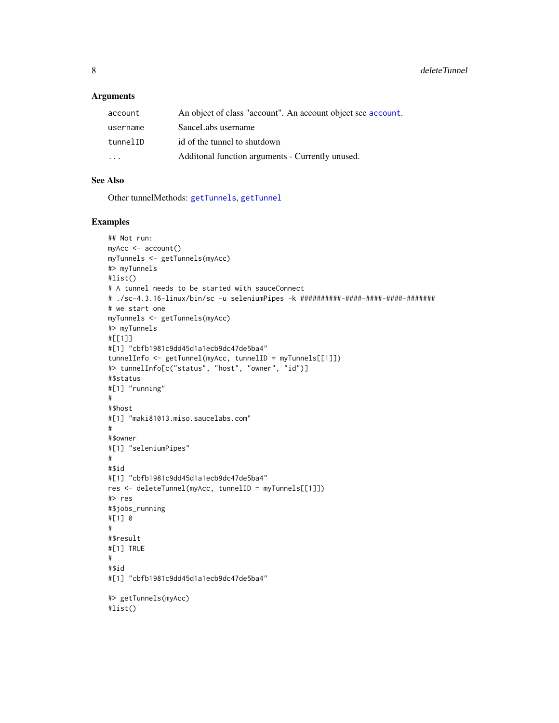#### <span id="page-7-0"></span>Arguments

| account  | An object of class "account". An account object see account. |
|----------|--------------------------------------------------------------|
| username | SauceLabs username                                           |
| tunnelID | id of the tunnel to shutdown                                 |
| $\cdot$  | Additional function arguments - Currently unused.            |

# See Also

Other tunnelMethods: [getTunnels](#page-23-1), [getTunnel](#page-22-1)

```
## Not run:
myAcc <- account()
myTunnels <- getTunnels(myAcc)
#> myTunnels
#list()
# A tunnel needs to be started with sauceConnect
# ./sc-4.3.16-linux/bin/sc -u seleniumPipes -k ##########-####-####-####-#######
# we start one
myTunnels <- getTunnels(myAcc)
#> myTunnels
#[[1]]
#[1] "cbfb1981c9dd45d1a1ecb9dc47de5ba4"
tunnelInfo <- getTunnel(myAcc, tunnelID = myTunnels[[1]])
#> tunnelInfo[c("status", "host", "owner", "id")]
#$status
#[1] "running"
#
#$host
#[1] "maki81013.miso.saucelabs.com"
#
#$owner
#[1] "seleniumPipes"
#
#$id
#[1] "cbfb1981c9dd45d1a1ecb9dc47de5ba4"
res <- deleteTunnel(myAcc, tunnelID = myTunnels[[1]])
#> res
#$jobs_running
#[1] 0
#
#$result
#[1] TRUE
#
#$id
#[1] "cbfb1981c9dd45d1a1ecb9dc47de5ba4"
#> getTunnels(myAcc)
#list()
```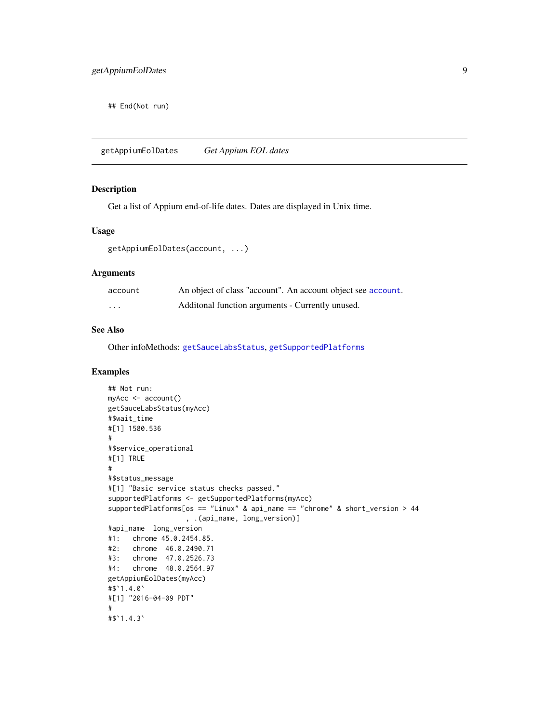<span id="page-8-0"></span>## End(Not run)

<span id="page-8-1"></span>getAppiumEolDates *Get Appium EOL dates*

#### Description

Get a list of Appium end-of-life dates. Dates are displayed in Unix time.

#### Usage

getAppiumEolDates(account, ...)

#### Arguments

| account  | An object of class "account". An account object see account. |
|----------|--------------------------------------------------------------|
| $\cdots$ | Additional function arguments - Currently unused.            |

#### See Also

Other infoMethods: [getSauceLabsStatus](#page-17-1), [getSupportedPlatforms](#page-20-1)

```
## Not run:
myAcc <- account()
getSauceLabsStatus(myAcc)
#$wait_time
#[1] 1580.536
#
#$service_operational
#[1] TRUE
#
#$status_message
#[1] "Basic service status checks passed."
supportedPlatforms <- getSupportedPlatforms(myAcc)
supportedPlatforms[os == "Linux" & api_name == "chrome" & short_version > 44
                   , .(api_name, long_version)]
#api_name long_version
#1: chrome 45.0.2454.85.
#2: chrome 46.0.2490.71
#3: chrome 47.0.2526.73
#4: chrome 48.0.2564.97
getAppiumEolDates(myAcc)
#$`1.4.0`
#[1] "2016-04-09 PDT"
#
#$`1.4.3`
```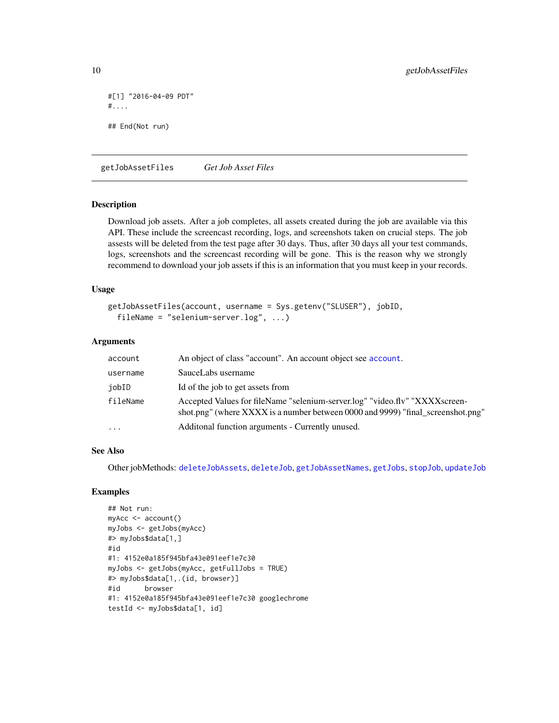```
#[1] "2016-04-09 PDT"
#....
## End(Not run)
```
<span id="page-9-1"></span>getJobAssetFiles *Get Job Asset Files*

#### Description

Download job assets. After a job completes, all assets created during the job are available via this API. These include the screencast recording, logs, and screenshots taken on crucial steps. The job assests will be deleted from the test page after 30 days. Thus, after 30 days all your test commands, logs, screenshots and the screencast recording will be gone. This is the reason why we strongly recommend to download your job assets if this is an information that you must keep in your records.

#### Usage

```
getJobAssetFiles(account, username = Sys.getenv("SLUSER"), jobID,
 fileName = "selenium-server.log", ...)
```
#### Arguments

| account             | An object of class "account". An account object see account.                                                                                                   |
|---------------------|----------------------------------------------------------------------------------------------------------------------------------------------------------------|
| username            | SauceLabs username                                                                                                                                             |
| jobID               | Id of the job to get assets from                                                                                                                               |
| fileName            | Accepted Values for fileName "selenium-server.log" "video.flv" "XXXXscreen-<br>shot.png" (where XXXX is a number between 0000 and 9999) "final screenshot.png" |
| $\cdot \cdot \cdot$ | Additonal function arguments - Currently unused.                                                                                                               |

## See Also

Other jobMethods: [deleteJobAssets](#page-5-1), [deleteJob](#page-4-1), [getJobAssetNames](#page-10-1), [getJobs](#page-11-1), [stopJob](#page-30-1), [updateJob](#page-32-1)

```
## Not run:
myAcc <- account()
myJobs <- getJobs(myAcc)
#> myJobs$data[1,]
#id
#1: 4152e0a185f945bfa43e091eef1e7c30
myJobs <- getJobs(myAcc, getFullJobs = TRUE)
#> myJobs$data[1,.(id, browser)]
#id browser
#1: 4152e0a185f945bfa43e091eef1e7c30 googlechrome
testId <- myJobs$data[1, id]
```
<span id="page-9-0"></span>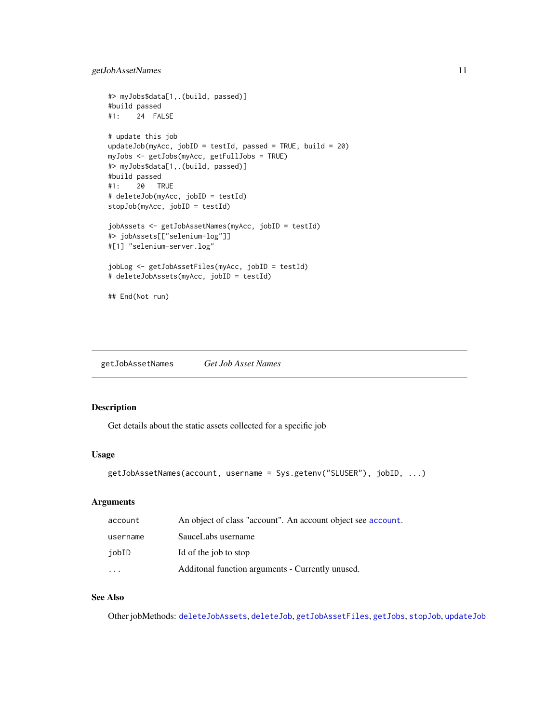```
#> myJobs$data[1,.(build, passed)]
#build passed
#1: 24 FALSE
# update this job
updateJob(myAcc, jobID = testId, passed = TRUE, build = 20)
myJobs <- getJobs(myAcc, getFullJobs = TRUE)
#> myJobs$data[1,.(build, passed)]
#build passed
#1: 20 TRUE
# deleteJob(myAcc, jobID = testId)
stopJob(myAcc, jobID = testId)
jobAssets <- getJobAssetNames(myAcc, jobID = testId)
#> jobAssets[["selenium-log"]]
#[1] "selenium-server.log"
jobLog <- getJobAssetFiles(myAcc, jobID = testId)
# deleteJobAssets(myAcc, jobID = testId)
## End(Not run)
```
<span id="page-10-1"></span>getJobAssetNames *Get Job Asset Names*

# Description

Get details about the static assets collected for a specific job

#### Usage

```
getJobAssetNames(account, username = Sys.getenv("SLUSER"), jobID, ...)
```
# Arguments

| account  | An object of class "account". An account object see account. |
|----------|--------------------------------------------------------------|
| username | SauceLabs username                                           |
| jobID    | Id of the job to stop                                        |
| $\cdot$  | Additonal function arguments - Currently unused.             |

# See Also

Other jobMethods: [deleteJobAssets](#page-5-1), [deleteJob](#page-4-1), [getJobAssetFiles](#page-9-1), [getJobs](#page-11-1), [stopJob](#page-30-1), [updateJob](#page-32-1)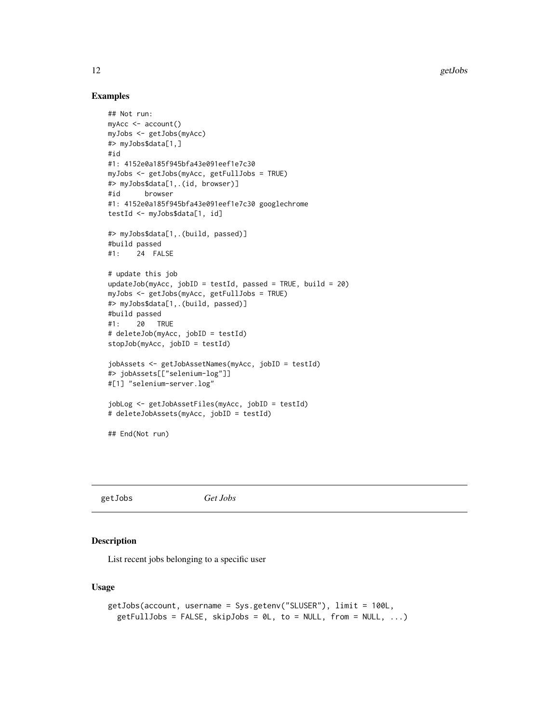<span id="page-11-0"></span>12 getJobs and the contract of the contract of the contract of the contract of the contract of the contract of the contract of the contract of the contract of the contract of the contract of the contract of the contract of

#### Examples

```
## Not run:
myAcc <- account()
myJobs <- getJobs(myAcc)
#> myJobs$data[1,]
#id
#1: 4152e0a185f945bfa43e091eef1e7c30
myJobs <- getJobs(myAcc, getFullJobs = TRUE)
#> myJobs$data[1,.(id, browser)]
#id browser
#1: 4152e0a185f945bfa43e091eef1e7c30 googlechrome
testId <- myJobs$data[1, id]
#> myJobs$data[1,.(build, passed)]
#build passed
#1: 24 FALSE
# update this job
updateJob(myAcc, jobID = testId, passed = TRUE, build = 20)
myJobs <- getJobs(myAcc, getFullJobs = TRUE)
#> myJobs$data[1,.(build, passed)]
#build passed
#1: 20 TRUE
# deleteJob(myAcc, jobID = testId)
stopJob(myAcc, jobID = testId)
jobAssets <- getJobAssetNames(myAcc, jobID = testId)
#> jobAssets[["selenium-log"]]
#[1] "selenium-server.log"
jobLog <- getJobAssetFiles(myAcc, jobID = testId)
# deleteJobAssets(myAcc, jobID = testId)
## End(Not run)
```
<span id="page-11-1"></span>getJobs *Get Jobs*

# Description

List recent jobs belonging to a specific user

# Usage

```
getJobs(account, username = Sys.getenv("SLUSER"), limit = 100L,
  getFullJobs = FALSE, skipJobs = 0L, to = NULL, from = NULL, ...)
```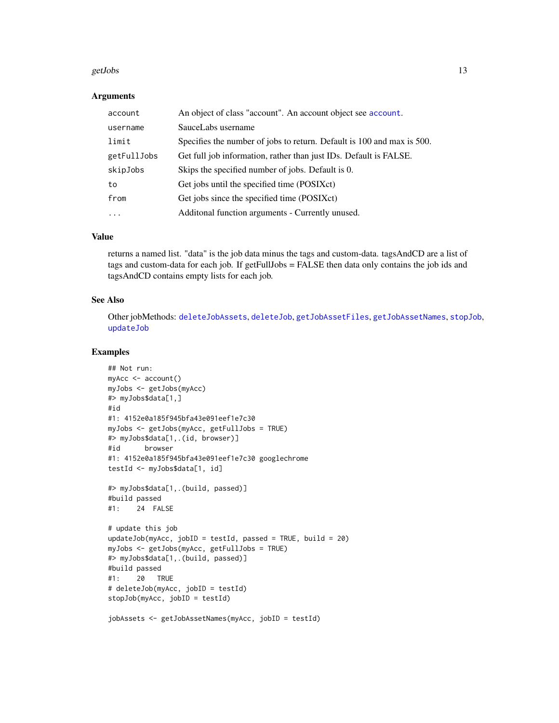#### <span id="page-12-0"></span>getJobs 2008 and 2008 and 2008 and 2008 and 2008 and 2008 and 2008 and 2008 and 2008 and 2008 and 2008 and 200

#### **Arguments**

| account     | An object of class "account". An account object see account.           |
|-------------|------------------------------------------------------------------------|
| username    | SauceLabs username                                                     |
| limit       | Specifies the number of jobs to return. Default is 100 and max is 500. |
| getFullJobs | Get full job information, rather than just IDs. Default is FALSE.      |
| skipJobs    | Skips the specified number of jobs. Default is 0.                      |
| to          | Get jobs until the specified time (POSIXct)                            |
| from        | Get jobs since the specified time (POSIXct)                            |
| .           | Additonal function arguments - Currently unused.                       |

# Value

returns a named list. "data" is the job data minus the tags and custom-data. tagsAndCD are a list of tags and custom-data for each job. If getFullJobs = FALSE then data only contains the job ids and tagsAndCD contains empty lists for each job.

#### See Also

Other jobMethods: [deleteJobAssets](#page-5-1), [deleteJob](#page-4-1), [getJobAssetFiles](#page-9-1), [getJobAssetNames](#page-10-1), [stopJob](#page-30-1), [updateJob](#page-32-1)

```
## Not run:
myAcc <- account()
myJobs <- getJobs(myAcc)
#> myJobs$data[1,]
#id
#1: 4152e0a185f945bfa43e091eef1e7c30
myJobs <- getJobs(myAcc, getFullJobs = TRUE)
#> myJobs$data[1,.(id, browser)]
#id browser
#1: 4152e0a185f945bfa43e091eef1e7c30 googlechrome
testId <- myJobs$data[1, id]
#> myJobs$data[1,.(build, passed)]
#build passed
#1: 24 FALSE
# update this job
updateJob(myAcc, jobID = testId, passed = TRUE, build = 20)
myJobs <- getJobs(myAcc, getFullJobs = TRUE)
#> myJobs$data[1,.(build, passed)]
#build passed
#1: 20 TRUE
# deleteJob(myAcc, jobID = testId)
stopJob(myAcc, jobID = testId)
jobAssets <- getJobAssetNames(myAcc, jobID = testId)
```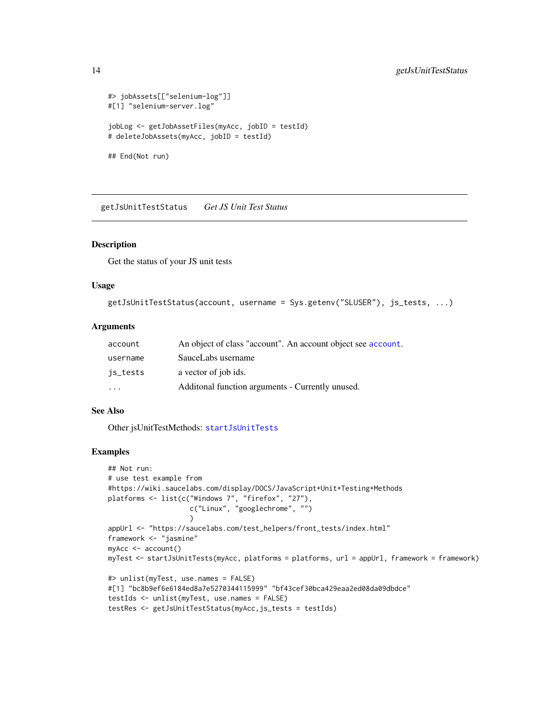```
#> jobAssets[["selenium-log"]]
#[1] "selenium-server.log"
jobLog <- getJobAssetFiles(myAcc, jobID = testId)
# deleteJobAssets(myAcc, jobID = testId)
## End(Not run)
```
<span id="page-13-1"></span>getJsUnitTestStatus *Get JS Unit Test Status*

#### Description

Get the status of your JS unit tests

#### Usage

```
getJsUnitTestStatus(account, username = Sys.getenv("SLUSER"), js_tests, ...)
```
#### **Arguments**

| account                 | An object of class "account". An account object see account. |
|-------------------------|--------------------------------------------------------------|
| username                | SauceLabs username                                           |
| is_tests                | a vector of job ids.                                         |
| $\cdot$ $\cdot$ $\cdot$ | Additonal function arguments - Currently unused.             |

#### See Also

Other jsUnitTestMethods: [startJsUnitTests](#page-29-1)

```
## Not run:
# use test example from
#https://wiki.saucelabs.com/display/DOCS/JavaScript+Unit+Testing+Methods
platforms <- list(c("Windows 7", "firefox", "27"),
                    c("Linux", "googlechrome", "")
                    )
appUrl <- "https://saucelabs.com/test_helpers/front_tests/index.html"
framework <- "jasmine"
myAcc <- account()
myTest <- startJsUnitTests(myAcc, platforms = platforms, url = appUrl, framework = framework)
#> unlist(myTest, use.names = FALSE)
#[1] "bc8b9ef6e6184ed8a7e5270344115999" "bf43cef30bca429eaa2ed08da09dbdce"
testIds <- unlist(myTest, use.names = FALSE)
testRes <- getJsUnitTestStatus(myAcc,js_tests = testIds)
```
<span id="page-13-0"></span>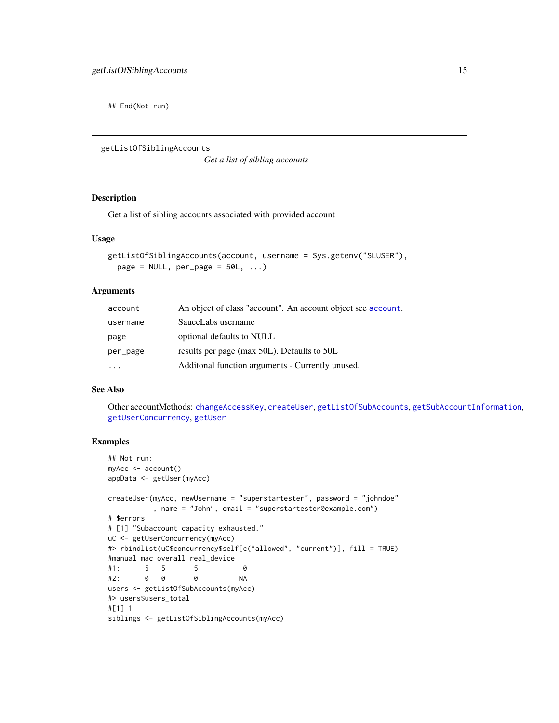<span id="page-14-0"></span>## End(Not run)

<span id="page-14-1"></span>getListOfSiblingAccounts

*Get a list of sibling accounts*

#### Description

Get a list of sibling accounts associated with provided account

#### Usage

```
getListOfSiblingAccounts(account, username = Sys.getenv("SLUSER"),
 page = NULL, per_page = 50L, ...)
```
# Arguments

| account  | An object of class "account". An account object see account. |
|----------|--------------------------------------------------------------|
| username | SauceLabs username                                           |
| page     | optional defaults to NULL                                    |
| per_page | results per page (max 50L). Defaults to 50L                  |
|          | Additonal function arguments - Currently unused.             |

#### See Also

Other accountMethods: [changeAccessKey](#page-2-1), [createUser](#page-3-1), [getListOfSubAccounts](#page-15-1), [getSubAccountInformation](#page-19-1), [getUserConcurrency](#page-28-1), [getUser](#page-24-1)

```
## Not run:
myAcc <- account()
appData <- getUser(myAcc)
createUser(myAcc, newUsername = "superstartester", password = "johndoe"
          , name = "John", email = "superstartester@example.com")
# $errors
# [1] "Subaccount capacity exhausted."
uC <- getUserConcurrency(myAcc)
#> rbindlist(uC$concurrency$self[c("allowed", "current")], fill = TRUE)
#manual mac overall real_device
#1: 5 5 5 0
#2: 0 0 0 NA
users <- getListOfSubAccounts(myAcc)
#> users$users_total
#[1] 1
siblings <- getListOfSiblingAccounts(myAcc)
```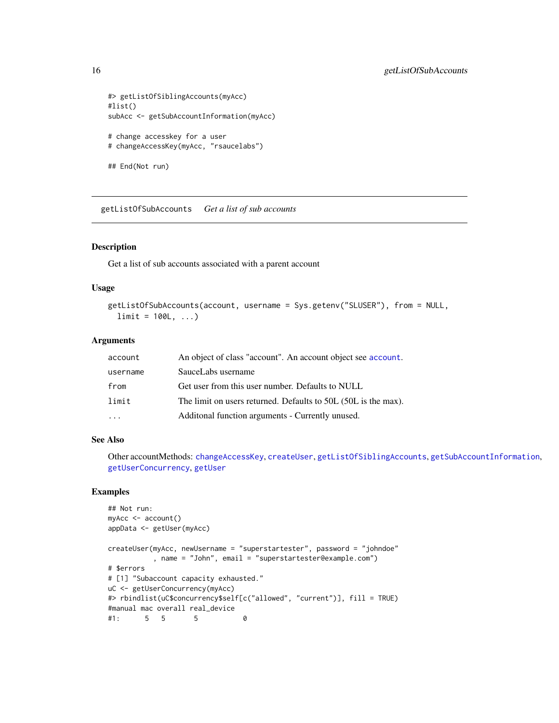```
#> getListOfSiblingAccounts(myAcc)
#list()
subAcc <- getSubAccountInformation(myAcc)
# change accesskey for a user
# changeAccessKey(myAcc, "rsaucelabs")
## End(Not run)
```
<span id="page-15-1"></span>getListOfSubAccounts *Get a list of sub accounts*

# Description

Get a list of sub accounts associated with a parent account

#### Usage

```
getListOfSubAccounts(account, username = Sys.getenv("SLUSER"), from = NULL,
  limit = 100L, ...
```
#### **Arguments**

| account  | An object of class "account". An account object see account.   |
|----------|----------------------------------------------------------------|
| username | SauceLabs username                                             |
| from     | Get user from this user number. Defaults to NULL               |
| limit    | The limit on users returned. Defaults to 50L (50L is the max). |
|          | Additonal function arguments - Currently unused.               |

#### See Also

Other accountMethods: [changeAccessKey](#page-2-1), [createUser](#page-3-1), [getListOfSiblingAccounts](#page-14-1), [getSubAccountInformation](#page-19-1), [getUserConcurrency](#page-28-1), [getUser](#page-24-1)

```
## Not run:
myAcc <- account()
appData <- getUser(myAcc)
createUser(myAcc, newUsername = "superstartester", password = "johndoe"
          , name = "John", email = "superstartester@example.com")
# $errors
# [1] "Subaccount capacity exhausted."
uC <- getUserConcurrency(myAcc)
#> rbindlist(uC$concurrency$self[c("allowed", "current")], fill = TRUE)
#manual mac overall real_device
#1: 5 5 5 0
```
<span id="page-15-0"></span>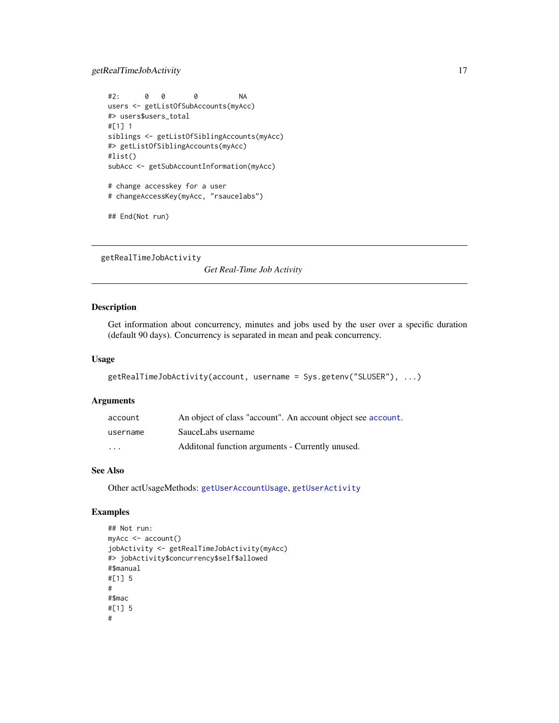# <span id="page-16-0"></span>getRealTimeJobActivity 17

```
#2: 0 0 0 NA
users <- getListOfSubAccounts(myAcc)
#> users$users_total
#[1] 1
siblings <- getListOfSiblingAccounts(myAcc)
#> getListOfSiblingAccounts(myAcc)
#list()
subAcc <- getSubAccountInformation(myAcc)
# change accesskey for a user
# changeAccessKey(myAcc, "rsaucelabs")
## End(Not run)
```
<span id="page-16-1"></span>getRealTimeJobActivity

*Get Real-Time Job Activity*

# Description

Get information about concurrency, minutes and jobs used by the user over a specific duration (default 90 days). Concurrency is separated in mean and peak concurrency.

#### Usage

```
getRealTimeJobActivity(account, username = Sys.getenv("SLUSER"), ...)
```
#### Arguments

| account                 | An object of class "account". An account object see account. |
|-------------------------|--------------------------------------------------------------|
| username                | SauceLabs username                                           |
| $\cdot$ $\cdot$ $\cdot$ | Additional function arguments - Currently unused.            |

# See Also

Other actUsageMethods: [getUserAccountUsage](#page-25-1), [getUserActivity](#page-26-1)

```
## Not run:
myAcc <- account()
jobActivity <- getRealTimeJobActivity(myAcc)
#> jobActivity$concurrency$self$allowed
#$manual
#[1] 5
#
#$mac
#[1] 5
#
```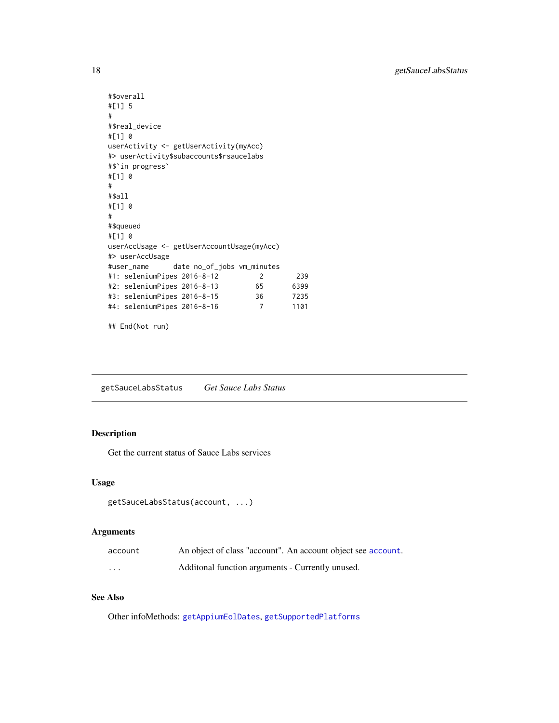```
#$overall
#[1] 5
#
#$real_device
#[1] 0
userActivity <- getUserActivity(myAcc)
#> userActivity$subaccounts$rsaucelabs
#$`in progress`
#[1] 0
#
#$all
#[1] 0
#
#$queued
#[1] 0
userAccUsage <- getUserAccountUsage(myAcc)
#> userAccUsage
#user_name date no_of_jobs vm_minutes
#1: seleniumPipes 2016-8-12 2 239
%#2: seleniumPipes 2016-8-13 65 6399<br>#3: seleniumPipes 2016-8-15 36 7235<br>#4: seleniumPipes 2016-8-16 7 1101
#3: seleniumPipes 2016-8-15 36 7235
#4: seleniumPipes 2016-8-16 7 1101
```

```
## End(Not run)
```
<span id="page-17-1"></span>getSauceLabsStatus *Get Sauce Labs Status*

# Description

Get the current status of Sauce Labs services

#### Usage

```
getSauceLabsStatus(account, ...)
```
# Arguments

| account  | An object of class "account". An account object see account. |
|----------|--------------------------------------------------------------|
| $\cdots$ | Additional function arguments - Currently unused.            |

# See Also

Other infoMethods: [getAppiumEolDates](#page-8-1), [getSupportedPlatforms](#page-20-1)

<span id="page-17-0"></span>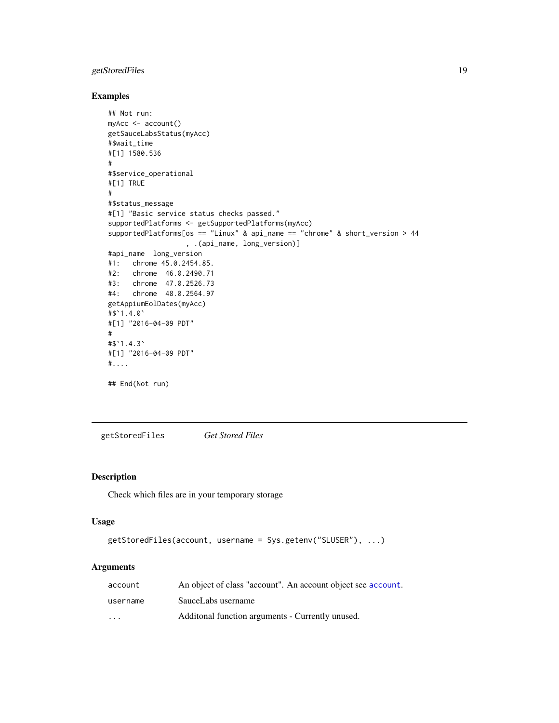# <span id="page-18-0"></span>getStoredFiles 19

# Examples

```
## Not run:
myAcc <- account()
getSauceLabsStatus(myAcc)
#$wait_time
#[1] 1580.536
#
#$service_operational
#[1] TRUE
#
#$status_message
#[1] "Basic service status checks passed."
supportedPlatforms <- getSupportedPlatforms(myAcc)
supportedPlatforms[os == "Linux" & api_name == "chrome" & short_version > 44
                   , .(api_name, long_version)]
#api_name long_version
#1: chrome 45.0.2454.85.
#2: chrome 46.0.2490.71
#3: chrome 47.0.2526.73
#4: chrome 48.0.2564.97
getAppiumEolDates(myAcc)
#$`1.4.0`
#[1] "2016-04-09 PDT"
#
#$`1.4.3`
#[1] "2016-04-09 PDT"
#....
## End(Not run)
```
<span id="page-18-1"></span>getStoredFiles *Get Stored Files*

#### Description

Check which files are in your temporary storage

#### Usage

```
getStoredFiles(account, username = Sys.getenv("SLUSER"), ...)
```
# Arguments

| account  | An object of class "account". An account object see account. |
|----------|--------------------------------------------------------------|
| username | SauceLabs username                                           |
| .        | Additional function arguments - Currently unused.            |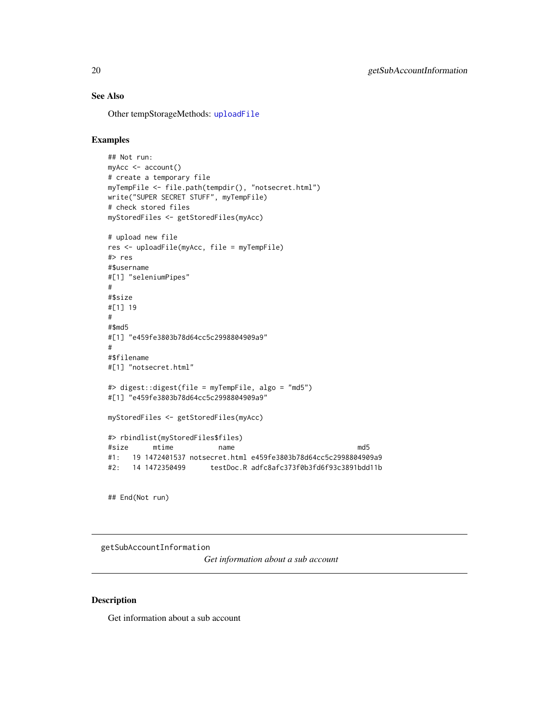# See Also

Other tempStorageMethods: [uploadFile](#page-33-1)

# Examples

```
## Not run:
myAcc <- account()
# create a temporary file
myTempFile <- file.path(tempdir(), "notsecret.html")
write("SUPER SECRET STUFF", myTempFile)
# check stored files
myStoredFiles <- getStoredFiles(myAcc)
# upload new file
res <- uploadFile(myAcc, file = myTempFile)
#> res
#$username
#[1] "seleniumPipes"
#
#$size
#[1] 19
#
#$md5
#[1] "e459fe3803b78d64cc5c2998804909a9"
#
#$filename
#[1] "notsecret.html"
#> digest::digest(file = myTempFile, algo = "md5")
#[1] "e459fe3803b78d64cc5c2998804909a9"
myStoredFiles <- getStoredFiles(myAcc)
#> rbindlist(myStoredFiles$files)
#size mtime name md5
#1: 19 1472401537 notsecret.html e459fe3803b78d64cc5c2998804909a9
#2: 14 1472350499 testDoc.R adfc8afc373f0b3fd6f93c3891bdd11b
```
## End(Not run)

<span id="page-19-1"></span>getSubAccountInformation

*Get information about a sub account*

#### Description

Get information about a sub account

<span id="page-19-0"></span>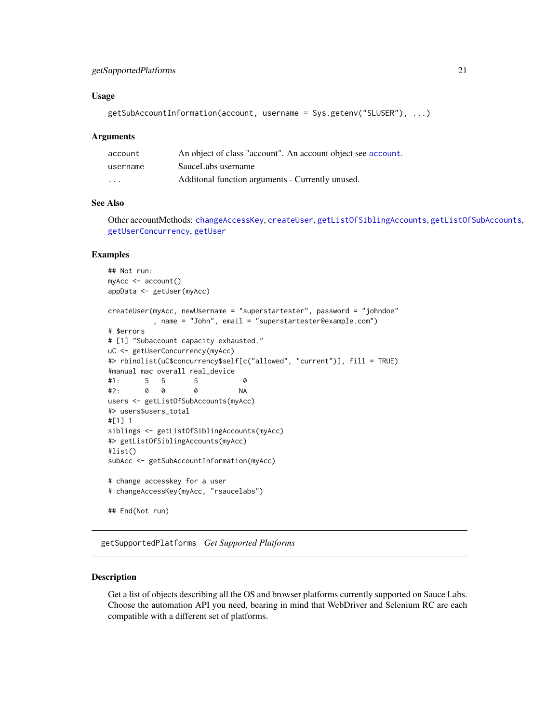# <span id="page-20-0"></span>getSupportedPlatforms 21

#### Usage

```
getSubAccountInformation(account, username = Sys.getenv("SLUSER"), ...)
```
#### Arguments

| account  | An object of class "account". An account object see account. |
|----------|--------------------------------------------------------------|
| username | SauceLabs username                                           |
| .        | Additional function arguments - Currently unused.            |

# See Also

Other accountMethods: [changeAccessKey](#page-2-1), [createUser](#page-3-1), [getListOfSiblingAccounts](#page-14-1), [getListOfSubAccounts](#page-15-1), [getUserConcurrency](#page-28-1), [getUser](#page-24-1)

#### Examples

```
## Not run:
myAcc <- account()
appData <- getUser(myAcc)
createUser(myAcc, newUsername = "superstartester", password = "johndoe"
          , name = "John", email = "superstartester@example.com")
# $errors
# [1] "Subaccount capacity exhausted."
uC <- getUserConcurrency(myAcc)
#> rbindlist(uC$concurrency$self[c("allowed", "current")], fill = TRUE)
#manual mac overall real_device
#1: 5 5 5 0
#2: 0 0 0 NA
users <- getListOfSubAccounts(myAcc)
#> users$users_total
#[1] 1
siblings <- getListOfSiblingAccounts(myAcc)
#> getListOfSiblingAccounts(myAcc)
#list()
subAcc <- getSubAccountInformation(myAcc)
# change accesskey for a user
# changeAccessKey(myAcc, "rsaucelabs")
## End(Not run)
```
<span id="page-20-1"></span>getSupportedPlatforms *Get Supported Platforms*

#### Description

Get a list of objects describing all the OS and browser platforms currently supported on Sauce Labs. Choose the automation API you need, bearing in mind that WebDriver and Selenium RC are each compatible with a different set of platforms.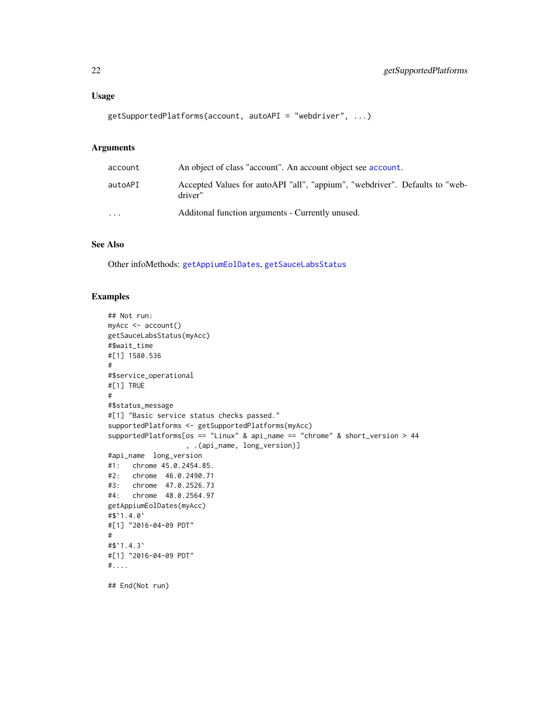# <span id="page-21-0"></span>Usage

```
getSupportedPlatforms(account, autoAPI = "webdriver", ...)
```
# Arguments

| account  | An object of class "account". An account object see account.                           |
|----------|----------------------------------------------------------------------------------------|
| autoAPI  | Accepted Values for autoAPI "all", "appium", "webdriver". Defaults to "web-<br>driver" |
| $\cdots$ | Additional function arguments - Currently unused.                                      |

# See Also

Other infoMethods: [getAppiumEolDates](#page-8-1), [getSauceLabsStatus](#page-17-1)

```
## Not run:
myAcc <- account()
getSauceLabsStatus(myAcc)
#$wait_time
#[1] 1580.536
#
#$service_operational
#[1] TRUE
#
#$status_message
#[1] "Basic service status checks passed."
supportedPlatforms <- getSupportedPlatforms(myAcc)
supportedPlatforms[os == "Linux" & api_name == "chrome" & short_version > 44
                  , .(api_name, long_version)]
#api_name long_version
#1: chrome 45.0.2454.85.
#2: chrome 46.0.2490.71
#3: chrome 47.0.2526.73
#4: chrome 48.0.2564.97
getAppiumEolDates(myAcc)
#$`1.4.0`
#[1] "2016-04-09 PDT"
#
#$`1.4.3`
#[1] "2016-04-09 PDT"
#....
## End(Not run)
```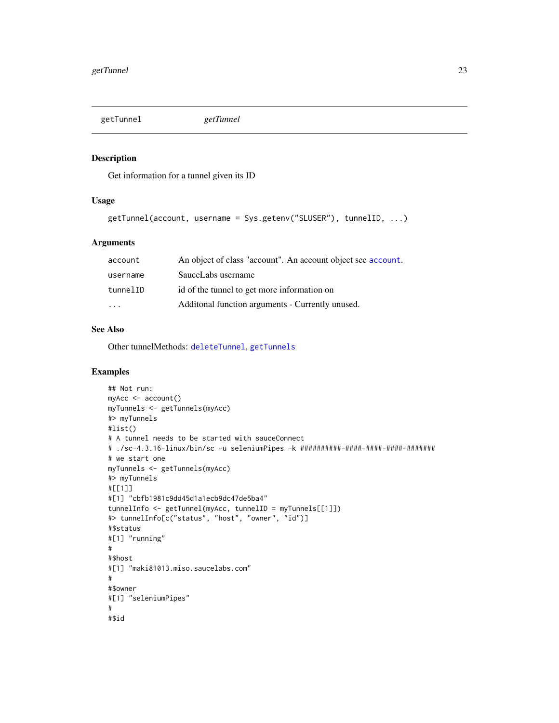<span id="page-22-1"></span><span id="page-22-0"></span>

#### Description

Get information for a tunnel given its ID

# Usage

```
getTunnel(account, username = Sys.getenv("SLUSER"), tunnelID, ...)
```
# Arguments

| account                 | An object of class "account". An account object see account. |
|-------------------------|--------------------------------------------------------------|
| username                | SauceLabs username                                           |
| tunnelID                | id of the tunnel to get more information on                  |
| $\cdot$ $\cdot$ $\cdot$ | Additonal function arguments - Currently unused.             |

# See Also

Other tunnelMethods: [deleteTunnel](#page-6-1), [getTunnels](#page-23-1)

```
## Not run:
myAcc <- account()
myTunnels <- getTunnels(myAcc)
#> myTunnels
#list()
# A tunnel needs to be started with sauceConnect
# ./sc-4.3.16-linux/bin/sc -u seleniumPipes -k ##########-####-####-####-#######
# we start one
myTunnels <- getTunnels(myAcc)
#> myTunnels
#[[1]]
#[1] "cbfb1981c9dd45d1a1ecb9dc47de5ba4"
tunnelInfo <- getTunnel(myAcc, tunnelID = myTunnels[[1]])
#> tunnelInfo[c("status", "host", "owner", "id")]
#$status
#[1] "running"
#
#$host
#[1] "maki81013.miso.saucelabs.com"
#
#$owner
#[1] "seleniumPipes"
#
#$id
```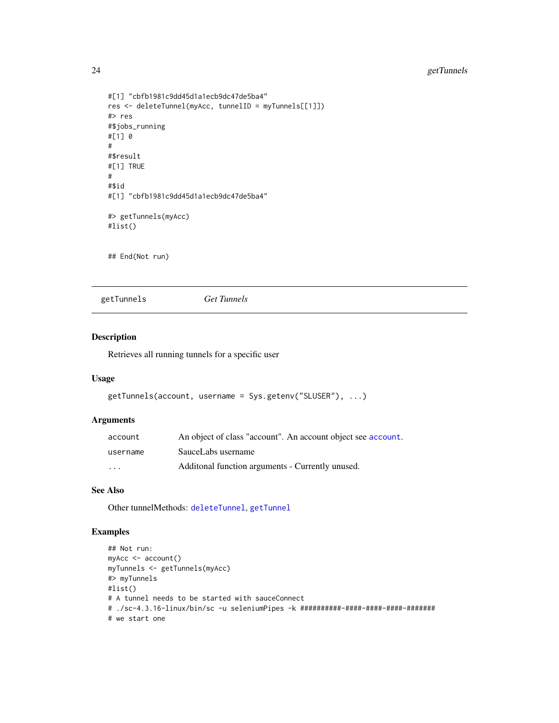# <span id="page-23-0"></span>24 getTunnels

```
#[1] "cbfb1981c9dd45d1a1ecb9dc47de5ba4"
res <- deleteTunnel(myAcc, tunnelID = myTunnels[[1]])
#> res
#$jobs_running
#[1] 0
#
#$result
#[1] TRUE
#
#$id
#[1] "cbfb1981c9dd45d1a1ecb9dc47de5ba4"
#> getTunnels(myAcc)
#list()
```
## End(Not run)

<span id="page-23-1"></span>getTunnels *Get Tunnels*

#### Description

Retrieves all running tunnels for a specific user

#### Usage

```
getTunnels(account, username = Sys.getenv("SLUSER"), ...)
```
# Arguments

| account                 | An object of class "account". An account object see account. |
|-------------------------|--------------------------------------------------------------|
| username                | SauceLabs username                                           |
| $\cdot$ $\cdot$ $\cdot$ | Additional function arguments - Currently unused.            |

# See Also

Other tunnelMethods: [deleteTunnel](#page-6-1), [getTunnel](#page-22-1)

```
## Not run:
myAcc <- account()
myTunnels <- getTunnels(myAcc)
#> myTunnels
#list()
# A tunnel needs to be started with sauceConnect
# ./sc-4.3.16-linux/bin/sc -u seleniumPipes -k ##########-####-####-####-#######
# we start one
```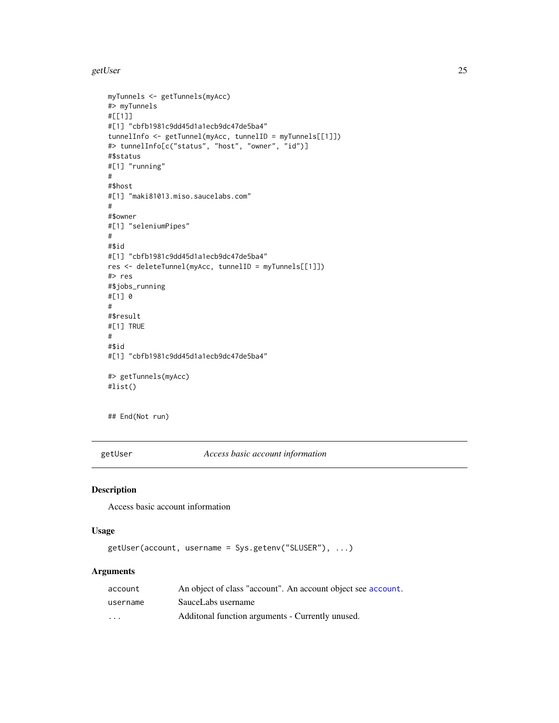<span id="page-24-0"></span>getUser 25

```
myTunnels <- getTunnels(myAcc)
#> myTunnels
#[[1]]
#[1] "cbfb1981c9dd45d1a1ecb9dc47de5ba4"
tunnelInfo <- getTunnel(myAcc, tunnelID = myTunnels[[1]])
#> tunnelInfo[c("status", "host", "owner", "id")]
#$status
#[1] "running"
#
#$host
#[1] "maki81013.miso.saucelabs.com"
#
#$owner
#[1] "seleniumPipes"
#
#$id
#[1] "cbfb1981c9dd45d1a1ecb9dc47de5ba4"
res <- deleteTunnel(myAcc, tunnelID = myTunnels[[1]])
#> res
#$jobs_running
#[1] 0
#
#$result
#[1] TRUE
#
#$id
#[1] "cbfb1981c9dd45d1a1ecb9dc47de5ba4"
#> getTunnels(myAcc)
#list()
```
## End(Not run)

<span id="page-24-1"></span>getUser *Access basic account information*

# Description

Access basic account information

#### Usage

```
getUser(account, username = Sys.getenv("SLUSER"), ...)
```
# Arguments

| account                 | An object of class "account". An account object see account. |
|-------------------------|--------------------------------------------------------------|
| username                | SauceLabs username                                           |
| $\cdot$ $\cdot$ $\cdot$ | Additional function arguments - Currently unused.            |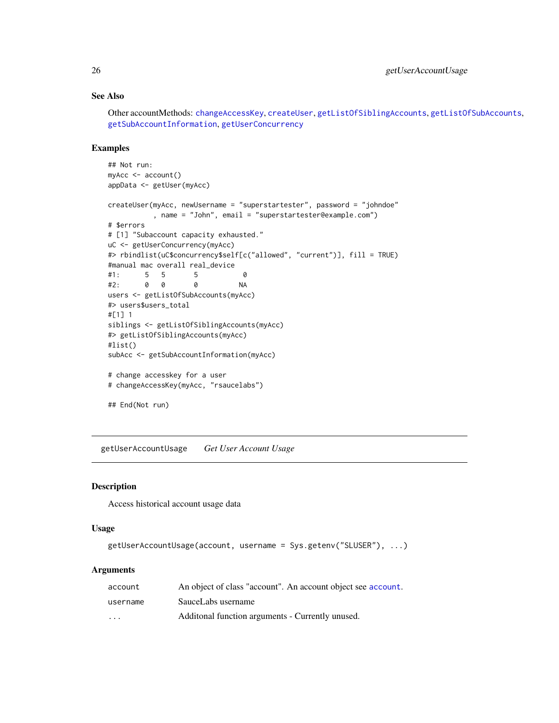# See Also

Other accountMethods: [changeAccessKey](#page-2-1), [createUser](#page-3-1), [getListOfSiblingAccounts](#page-14-1), [getListOfSubAccounts](#page-15-1), [getSubAccountInformation](#page-19-1), [getUserConcurrency](#page-28-1)

# Examples

```
## Not run:
myAcc <- account()
appData <- getUser(myAcc)
createUser(myAcc, newUsername = "superstartester", password = "johndoe"
          , name = "John", email = "superstartester@example.com")
# $errors
# [1] "Subaccount capacity exhausted."
uC <- getUserConcurrency(myAcc)
#> rbindlist(uC$concurrency$self[c("allowed", "current")], fill = TRUE)
#manual mac overall real_device
#1: 5 5 5 0
#2: 0 0 0 NA
users <- getListOfSubAccounts(myAcc)
#> users$users_total
#[1] 1
siblings <- getListOfSiblingAccounts(myAcc)
#> getListOfSiblingAccounts(myAcc)
#list()
subAcc <- getSubAccountInformation(myAcc)
# change accesskey for a user
# changeAccessKey(myAcc, "rsaucelabs")
## End(Not run)
```
<span id="page-25-1"></span>getUserAccountUsage *Get User Account Usage*

# Description

Access historical account usage data

# Usage

```
getUserAccountUsage(account, username = Sys.getenv("SLUSER"), ...)
```
#### **Arguments**

| account  | An object of class "account". An account object see account. |
|----------|--------------------------------------------------------------|
| username | SauceLabs username                                           |
| $\cdot$  | Additional function arguments - Currently unused.            |

<span id="page-25-0"></span>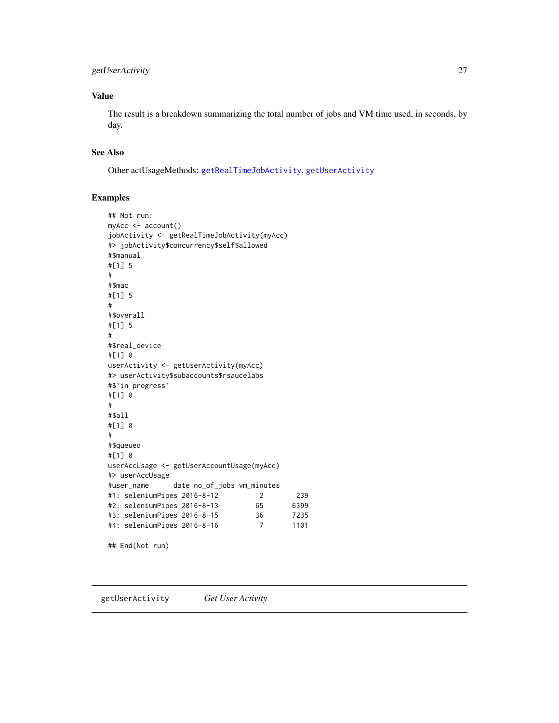# <span id="page-26-0"></span>getUserActivity 27

# Value

The result is a breakdown summarizing the total number of jobs and VM time used, in seconds, by day.

#### See Also

Other actUsageMethods: [getRealTimeJobActivity](#page-16-1), [getUserActivity](#page-26-1)

#### Examples

```
## Not run:
myAcc <- account()
jobActivity <- getRealTimeJobActivity(myAcc)
#> jobActivity$concurrency$self$allowed
#$manual
#[1] 5
#
#$mac
#[1] 5
#
#$overall
#[1] 5
#
#$real_device
#[1] 0
userActivity <- getUserActivity(myAcc)
#> userActivity$subaccounts$rsaucelabs
#$`in progress`
#[1] 0
#
#$all
#[1] 0
#
#$queued
#[1] 0
userAccUsage <- getUserAccountUsage(myAcc)
#> userAccUsage
#user_name date no_of_jobs vm_minutes
#1: seleniumPipes 2016-8-12 2 239
#2: seleniumPipes 2016-8-13 65 6399
#3: seleniumPipes 2016-8-15 36 7235
#4: seleniumPipes 2016-8-16 7 1101
```
## End(Not run)

<span id="page-26-1"></span>getUserActivity *Get User Activity*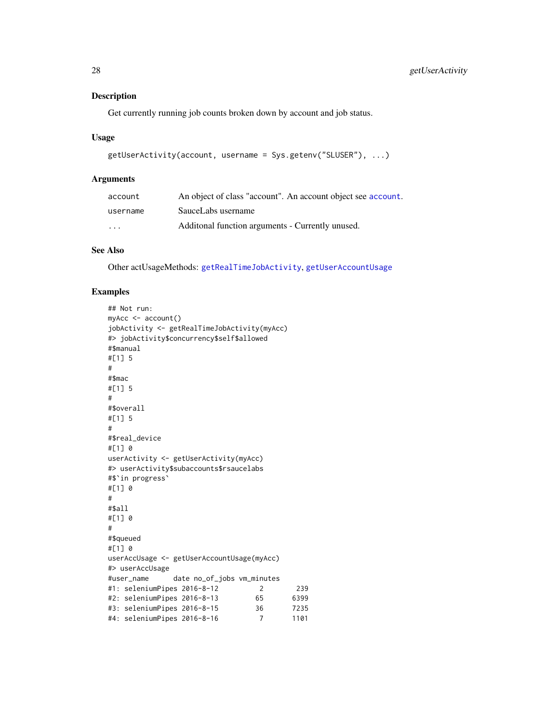# <span id="page-27-0"></span>Description

Get currently running job counts broken down by account and job status.

#### Usage

```
getUserActivity(account, username = Sys.getenv("SLUSER"), ...)
```
#### Arguments

| account                 | An object of class "account". An account object see account. |
|-------------------------|--------------------------------------------------------------|
| username                | SauceLabs username                                           |
| $\cdot$ $\cdot$ $\cdot$ | Additional function arguments - Currently unused.            |

# See Also

Other actUsageMethods: [getRealTimeJobActivity](#page-16-1), [getUserAccountUsage](#page-25-1)

```
## Not run:
myAcc <- account()
jobActivity <- getRealTimeJobActivity(myAcc)
#> jobActivity$concurrency$self$allowed
#$manual
#[1] 5
#
#$mac
#[1] 5
#
#$overall
#[1] 5
#
#$real_device
#[1] 0
userActivity <- getUserActivity(myAcc)
#> userActivity$subaccounts$rsaucelabs
#$`in progress`
#[1] 0
#
#$all
#[1] 0
#
#$queued
#[1] 0
userAccUsage <- getUserAccountUsage(myAcc)
#> userAccUsage
#user_name date no_of_jobs vm_minutes
#1: seleniumPipes 2016-8-12 2 239
#2: seleniumPipes 2016-8-13 65 6399
#3: seleniumPipes 2016-8-15 36 7235
#4: seleniumPipes 2016-8-16 7 1101
```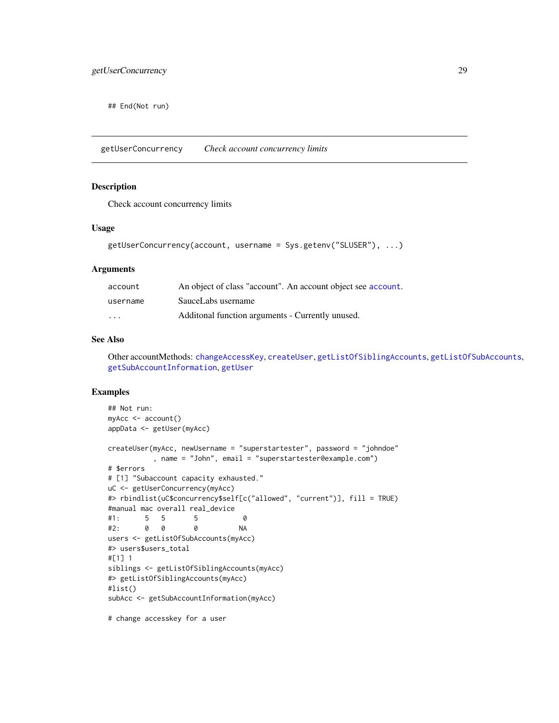<span id="page-28-0"></span>## End(Not run)

<span id="page-28-1"></span>getUserConcurrency *Check account concurrency limits*

# Description

Check account concurrency limits

#### Usage

```
getUserConcurrency(account, username = Sys.getenv("SLUSER"), ...)
```
#### Arguments

| account                 | An object of class "account". An account object see account. |
|-------------------------|--------------------------------------------------------------|
| username                | SauceLabs username                                           |
| $\cdot$ $\cdot$ $\cdot$ | Additional function arguments - Currently unused.            |

#### See Also

Other accountMethods: [changeAccessKey](#page-2-1), [createUser](#page-3-1), [getListOfSiblingAccounts](#page-14-1), [getListOfSubAccounts](#page-15-1), [getSubAccountInformation](#page-19-1), [getUser](#page-24-1)

# Examples

```
## Not run:
myAcc <- account()
appData <- getUser(myAcc)
createUser(myAcc, newUsername = "superstartester", password = "johndoe"
          , name = "John", email = "superstartester@example.com")
# $errors
# [1] "Subaccount capacity exhausted."
uC <- getUserConcurrency(myAcc)
#> rbindlist(uC$concurrency$self[c("allowed", "current")], fill = TRUE)
#manual mac overall real_device
#1: 5 5 5 0
#2: 0 0 0 NA
users <- getListOfSubAccounts(myAcc)
#> users$users_total
#[1] 1
siblings <- getListOfSiblingAccounts(myAcc)
#> getListOfSiblingAccounts(myAcc)
#list()
subAcc <- getSubAccountInformation(myAcc)
```
# change accesskey for a user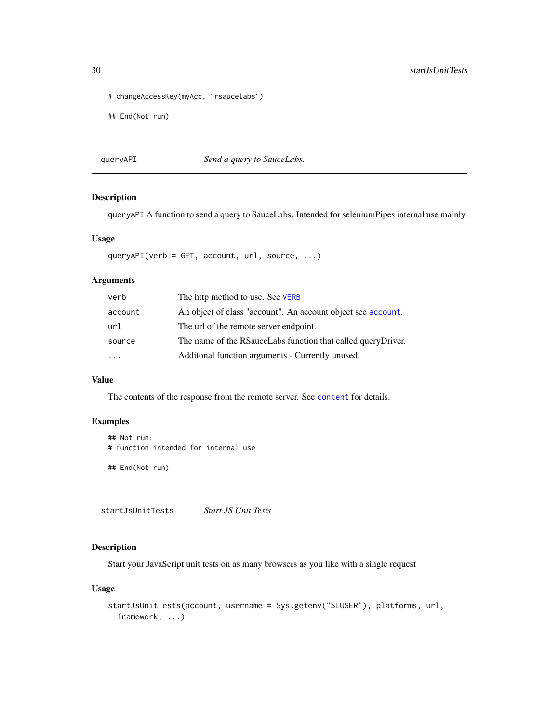```
# changeAccessKey(myAcc, "rsaucelabs")
```
## End(Not run)

queryAPI *Send a query to SauceLabs.*

# Description

queryAPI A function to send a query to SauceLabs. Intended for seleniumPipes internal use mainly.

#### Usage

queryAPI(verb = GET, account, url, source, ...)

# Arguments

| verb                    | The http method to use. See VERB                             |
|-------------------------|--------------------------------------------------------------|
| account                 | An object of class "account". An account object see account. |
| url                     | The url of the remote server endpoint.                       |
| source                  | The name of the RSauceLabs function that called queryDriver. |
| $\cdot$ $\cdot$ $\cdot$ | Additonal function arguments - Currently unused.             |

# Value

The contents of the response from the remote server. See [content](#page-0-0) for details.

# Examples

```
## Not run:
# function intended for internal use
```
## End(Not run)

<span id="page-29-1"></span>startJsUnitTests *Start JS Unit Tests*

# Description

Start your JavaScript unit tests on as many browsers as you like with a single request

# Usage

```
startJsUnitTests(account, username = Sys.getenv("SLUSER"), platforms, url,
 framework, ...)
```
<span id="page-29-0"></span>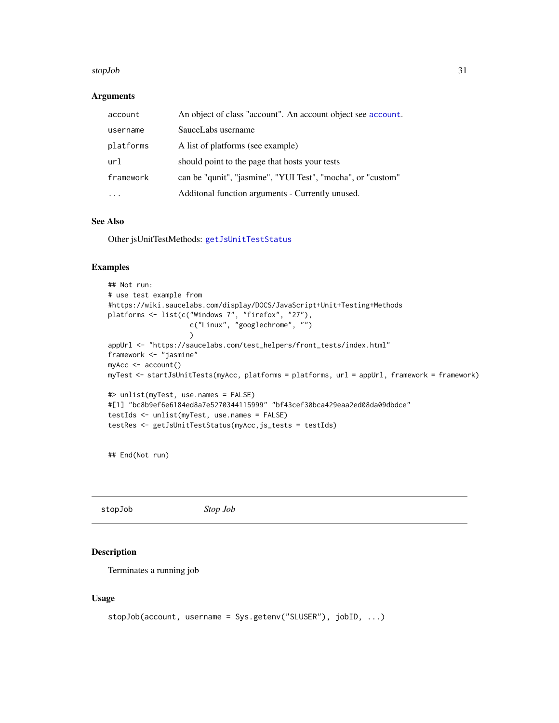#### <span id="page-30-0"></span>stopJob 31

#### **Arguments**

| account   | An object of class "account". An account object see account. |
|-----------|--------------------------------------------------------------|
| username  | SauceLabs username                                           |
| platforms | A list of platforms (see example)                            |
| url       | should point to the page that hosts your tests               |
| framework | can be "qunit", "jasmine", "YUI Test", "mocha", or "custom"  |
|           | Additonal function arguments - Currently unused.             |

# See Also

Other jsUnitTestMethods: [getJsUnitTestStatus](#page-13-1)

#### Examples

```
## Not run:
# use test example from
#https://wiki.saucelabs.com/display/DOCS/JavaScript+Unit+Testing+Methods
platforms <- list(c("Windows 7", "firefox", "27"),
                    c("Linux", "googlechrome", "")
                    )
appUrl <- "https://saucelabs.com/test_helpers/front_tests/index.html"
framework <- "jasmine"
myAcc <- account()
myTest <- startJsUnitTests(myAcc, platforms = platforms, url = appUrl, framework = framework)
#> unlist(myTest, use.names = FALSE)
#[1] "bc8b9ef6e6184ed8a7e5270344115999" "bf43cef30bca429eaa2ed08da09dbdce"
testIds <- unlist(myTest, use.names = FALSE)
testRes <- getJsUnitTestStatus(myAcc,js_tests = testIds)
```
## End(Not run)

<span id="page-30-1"></span>stopJob *Stop Job*

# Description

Terminates a running job

# Usage

```
stopJob(account, username = Sys.getenv("SLUSER"), jobID, ...)
```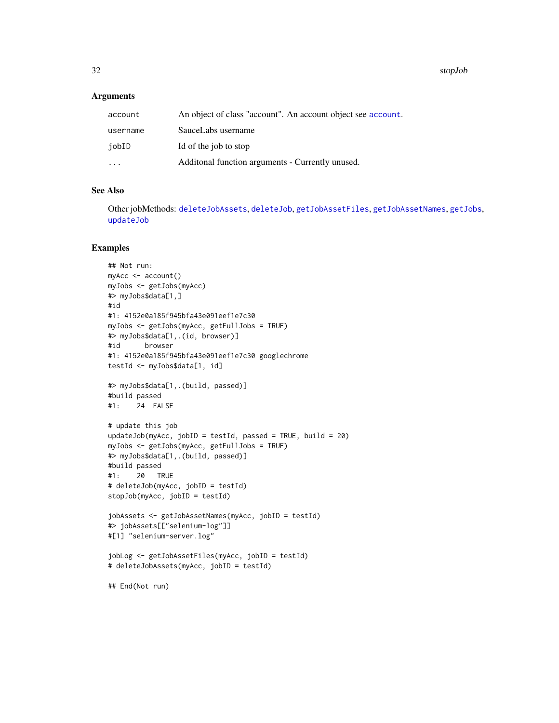<span id="page-31-0"></span>32 stopJob

#### Arguments

| account   | An object of class "account". An account object see account. |
|-----------|--------------------------------------------------------------|
| username  | SauceLabs username                                           |
| iobID     | Id of the job to stop                                        |
| $\ddotsc$ | Additional function arguments - Currently unused.            |

# See Also

Other jobMethods: [deleteJobAssets](#page-5-1), [deleteJob](#page-4-1), [getJobAssetFiles](#page-9-1), [getJobAssetNames](#page-10-1), [getJobs](#page-11-1), [updateJob](#page-32-1)

```
## Not run:
myAcc <- account()
myJobs <- getJobs(myAcc)
#> myJobs$data[1,]
#id
#1: 4152e0a185f945bfa43e091eef1e7c30
myJobs <- getJobs(myAcc, getFullJobs = TRUE)
#> myJobs$data[1,.(id, browser)]
#id browser
#1: 4152e0a185f945bfa43e091eef1e7c30 googlechrome
testId <- myJobs$data[1, id]
#> myJobs$data[1,.(build, passed)]
#build passed
#1: 24 FALSE
# update this job
updateJob(myAcc, jobID = testId, passed = TRUE, build = 20)
myJobs <- getJobs(myAcc, getFullJobs = TRUE)
#> myJobs$data[1,.(build, passed)]
#build passed
#1: 20 TRUE
# deleteJob(myAcc, jobID = testId)
stopJob(myAcc, jobID = testId)
jobAssets <- getJobAssetNames(myAcc, jobID = testId)
#> jobAssets[["selenium-log"]]
#[1] "selenium-server.log"
jobLog <- getJobAssetFiles(myAcc, jobID = testId)
# deleteJobAssets(myAcc, jobID = testId)
## End(Not run)
```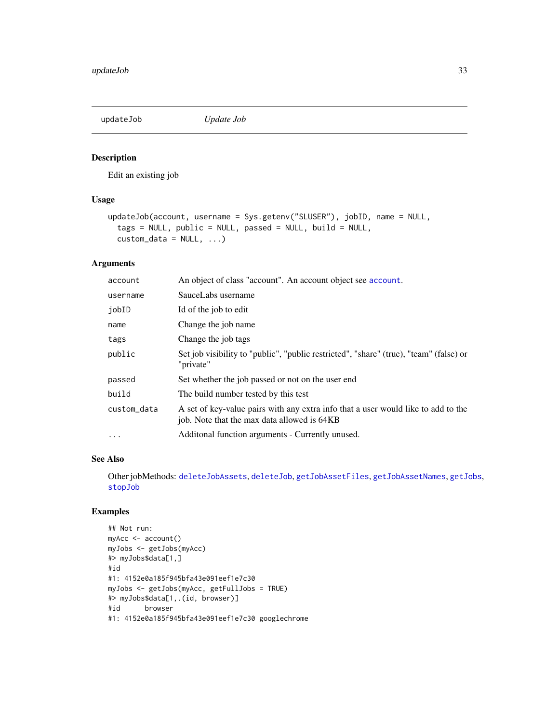<span id="page-32-1"></span><span id="page-32-0"></span>

# Description

Edit an existing job

#### Usage

```
updateJob(account, username = Sys.getenv("SLUSER"), jobID, name = NULL,
  tags = NULL, public = NULL, passed = NULL, build = NULL,
  \text{custom_data} = \text{NULL}, \ldots
```
# Arguments

| account     | An object of class "account". An account object see account.                                                                     |
|-------------|----------------------------------------------------------------------------------------------------------------------------------|
| username    | SauceLabs username                                                                                                               |
| jobID       | Id of the job to edit                                                                                                            |
| name        | Change the job name                                                                                                              |
| tags        | Change the job tags                                                                                                              |
| public      | Set job visibility to "public", "public restricted", "share" (true), "team" (false) or<br>"private"                              |
| passed      | Set whether the job passed or not on the user end                                                                                |
| build       | The build number tested by this test                                                                                             |
| custom_data | A set of key-value pairs with any extra info that a user would like to add to the<br>job. Note that the max data allowed is 64KB |
| $\cdots$    | Additional function arguments - Currently unused.                                                                                |

# See Also

Other jobMethods: [deleteJobAssets](#page-5-1), [deleteJob](#page-4-1), [getJobAssetFiles](#page-9-1), [getJobAssetNames](#page-10-1), [getJobs](#page-11-1), [stopJob](#page-30-1)

```
## Not run:
myAcc <- account()
myJobs <- getJobs(myAcc)
#> myJobs$data[1,]
#id
#1: 4152e0a185f945bfa43e091eef1e7c30
myJobs <- getJobs(myAcc, getFullJobs = TRUE)
#> myJobs$data[1,.(id, browser)]
#id browser
#1: 4152e0a185f945bfa43e091eef1e7c30 googlechrome
```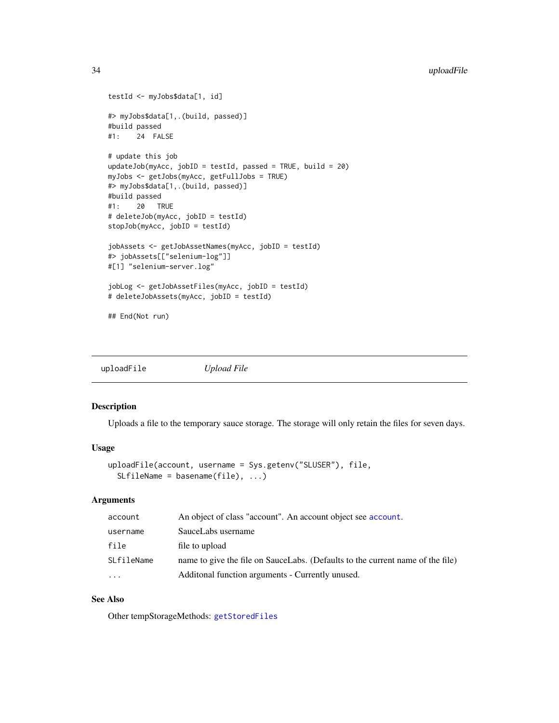```
testId <- myJobs$data[1, id]
#> myJobs$data[1,.(build, passed)]
#build passed
#1: 24 FALSE
# update this job
updateJob(myAcc, jobID = testId, passed = TRUE, build = 20)
myJobs <- getJobs(myAcc, getFullJobs = TRUE)
#> myJobs$data[1,.(build, passed)]
#build passed
#1: 20 TRUE
# deleteJob(myAcc, jobID = testId)
stopJob(myAcc, jobID = testId)
jobAssets <- getJobAssetNames(myAcc, jobID = testId)
#> jobAssets[["selenium-log"]]
#[1] "selenium-server.log"
jobLog <- getJobAssetFiles(myAcc, jobID = testId)
# deleteJobAssets(myAcc, jobID = testId)
## End(Not run)
```
<span id="page-33-1"></span>uploadFile *Upload File*

#### Description

Uploads a file to the temporary sauce storage. The storage will only retain the files for seven days.

#### Usage

```
uploadFile(account, username = Sys.getenv("SLUSER"), file,
  SLfileName = basename(file), ...)
```
#### Arguments

| account    | An object of class "account". An account object see account.                   |
|------------|--------------------------------------------------------------------------------|
| username   | SauceLabs username                                                             |
| file       | file to upload                                                                 |
| SLfileName | name to give the file on SauceLabs. (Defaults to the current name of the file) |
| $\ddots$   | Additional function arguments - Currently unused.                              |

# See Also

Other tempStorageMethods: [getStoredFiles](#page-18-1)

<span id="page-33-0"></span>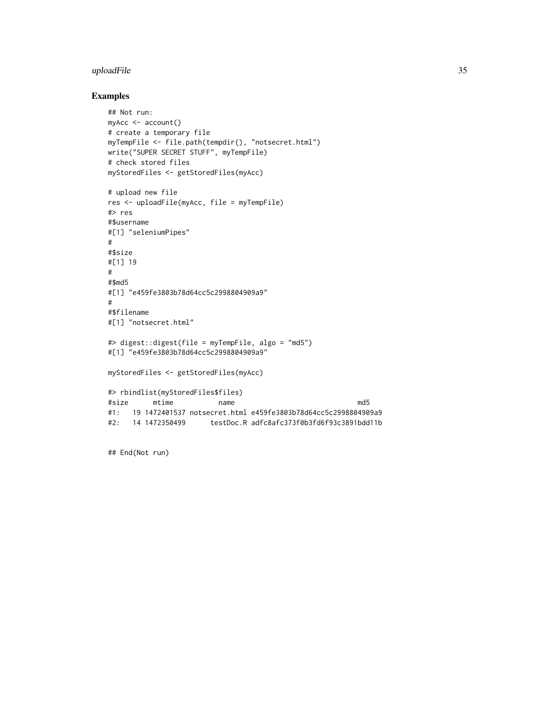# uploadFile 35

# Examples

```
## Not run:
myAcc <- account()
# create a temporary file
myTempFile <- file.path(tempdir(), "notsecret.html")
write("SUPER SECRET STUFF", myTempFile)
# check stored files
myStoredFiles <- getStoredFiles(myAcc)
# upload new file
res <- uploadFile(myAcc, file = myTempFile)
#> res
#$username
#[1] "seleniumPipes"
#
#$size
#[1] 19
#
#$md5
#[1] "e459fe3803b78d64cc5c2998804909a9"
#
#$filename
#[1] "notsecret.html"
#> digest::digest(file = myTempFile, algo = "md5")
#[1] "e459fe3803b78d64cc5c2998804909a9"
myStoredFiles <- getStoredFiles(myAcc)
#> rbindlist(myStoredFiles$files)
#size mtime name md5
#1: 19 1472401537 notsecret.html e459fe3803b78d64cc5c2998804909a9
#2: 14 1472350499 testDoc.R adfc8afc373f0b3fd6f93c3891bdd11b
```
## End(Not run)